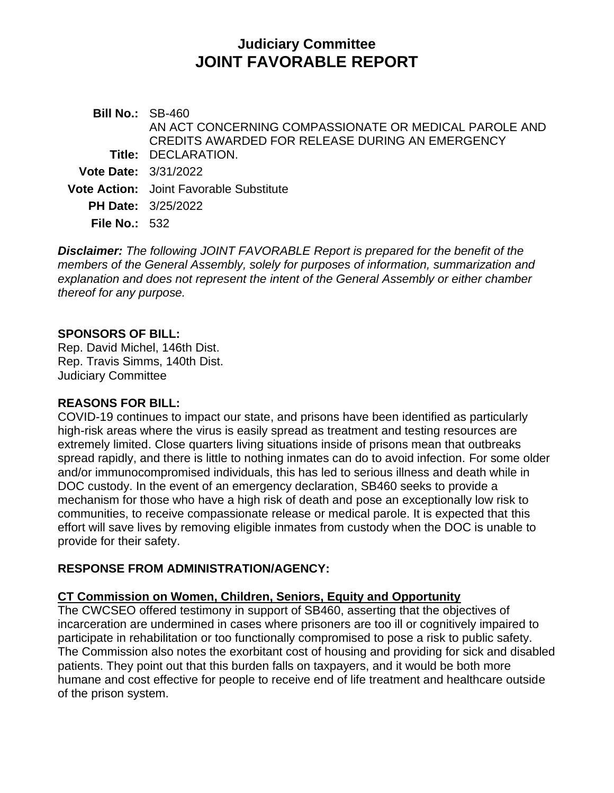# **Judiciary Committee JOINT FAVORABLE REPORT**

**Bill No.:** SB-460 **Title:** DECLARATION. AN ACT CONCERNING COMPASSIONATE OR MEDICAL PAROLE AND CREDITS AWARDED FOR RELEASE DURING AN EMERGENCY **Vote Date:** 3/31/2022 **Vote Action:** Joint Favorable Substitute **PH Date:** 3/25/2022 **File No.:** 532

*Disclaimer: The following JOINT FAVORABLE Report is prepared for the benefit of the members of the General Assembly, solely for purposes of information, summarization and explanation and does not represent the intent of the General Assembly or either chamber thereof for any purpose.*

#### **SPONSORS OF BILL:**

Rep. David Michel, 146th Dist. Rep. Travis Simms, 140th Dist. Judiciary Committee

#### **REASONS FOR BILL:**

COVID-19 continues to impact our state, and prisons have been identified as particularly high-risk areas where the virus is easily spread as treatment and testing resources are extremely limited. Close quarters living situations inside of prisons mean that outbreaks spread rapidly, and there is little to nothing inmates can do to avoid infection. For some older and/or immunocompromised individuals, this has led to serious illness and death while in DOC custody. In the event of an emergency declaration, SB460 seeks to provide a mechanism for those who have a high risk of death and pose an exceptionally low risk to communities, to receive compassionate release or medical parole. It is expected that this effort will save lives by removing eligible inmates from custody when the DOC is unable to provide for their safety.

# **RESPONSE FROM ADMINISTRATION/AGENCY:**

# **CT Commission on Women, Children, Seniors, Equity and Opportunity**

The CWCSEO offered testimony in support of SB460, asserting that the objectives of incarceration are undermined in cases where prisoners are too ill or cognitively impaired to participate in rehabilitation or too functionally compromised to pose a risk to public safety. The Commission also notes the exorbitant cost of housing and providing for sick and disabled patients. They point out that this burden falls on taxpayers, and it would be both more humane and cost effective for people to receive end of life treatment and healthcare outside of the prison system.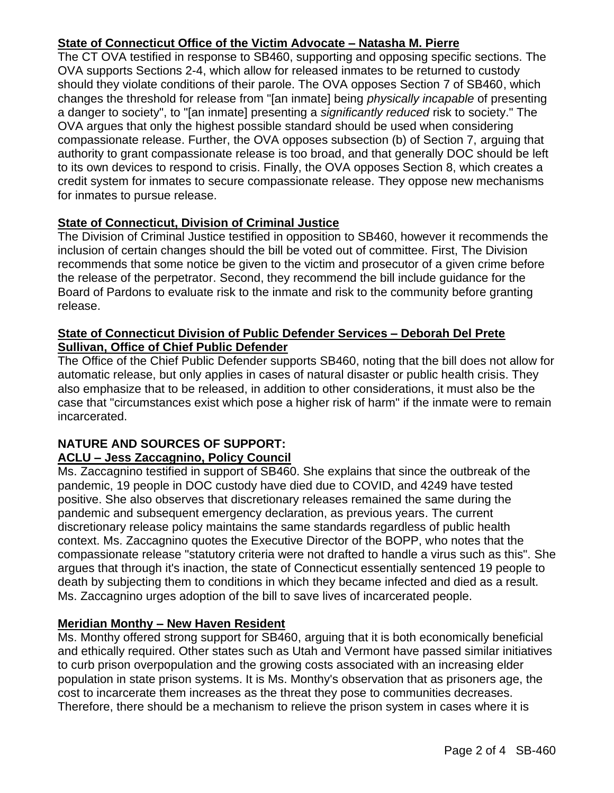# **State of Connecticut Office of the Victim Advocate – Natasha M. Pierre**

The CT OVA testified in response to SB460, supporting and opposing specific sections. The OVA supports Sections 2-4, which allow for released inmates to be returned to custody should they violate conditions of their parole. The OVA opposes Section 7 of SB460, which changes the threshold for release from "[an inmate] being *physically incapable* of presenting a danger to society", to "[an inmate] presenting a *significantly reduced* risk to society." The OVA argues that only the highest possible standard should be used when considering compassionate release. Further, the OVA opposes subsection (b) of Section 7, arguing that authority to grant compassionate release is too broad, and that generally DOC should be left to its own devices to respond to crisis. Finally, the OVA opposes Section 8, which creates a credit system for inmates to secure compassionate release. They oppose new mechanisms for inmates to pursue release.

# **State of Connecticut, Division of Criminal Justice**

The Division of Criminal Justice testified in opposition to SB460, however it recommends the inclusion of certain changes should the bill be voted out of committee. First, The Division recommends that some notice be given to the victim and prosecutor of a given crime before the release of the perpetrator. Second, they recommend the bill include guidance for the Board of Pardons to evaluate risk to the inmate and risk to the community before granting release.

### **State of Connecticut Division of Public Defender Services – Deborah Del Prete Sullivan, Office of Chief Public Defender**

The Office of the Chief Public Defender supports SB460, noting that the bill does not allow for automatic release, but only applies in cases of natural disaster or public health crisis. They also emphasize that to be released, in addition to other considerations, it must also be the case that "circumstances exist which pose a higher risk of harm" if the inmate were to remain incarcerated.

## **NATURE AND SOURCES OF SUPPORT: ACLU – Jess Zaccagnino, Policy Council**

Ms. Zaccagnino testified in support of SB460. She explains that since the outbreak of the pandemic, 19 people in DOC custody have died due to COVID, and 4249 have tested positive. She also observes that discretionary releases remained the same during the pandemic and subsequent emergency declaration, as previous years. The current discretionary release policy maintains the same standards regardless of public health context. Ms. Zaccagnino quotes the Executive Director of the BOPP, who notes that the compassionate release "statutory criteria were not drafted to handle a virus such as this". She argues that through it's inaction, the state of Connecticut essentially sentenced 19 people to death by subjecting them to conditions in which they became infected and died as a result. Ms. Zaccagnino urges adoption of the bill to save lives of incarcerated people.

# **Meridian Monthy – New Haven Resident**

Ms. Monthy offered strong support for SB460, arguing that it is both economically beneficial and ethically required. Other states such as Utah and Vermont have passed similar initiatives to curb prison overpopulation and the growing costs associated with an increasing elder population in state prison systems. It is Ms. Monthy's observation that as prisoners age, the cost to incarcerate them increases as the threat they pose to communities decreases. Therefore, there should be a mechanism to relieve the prison system in cases where it is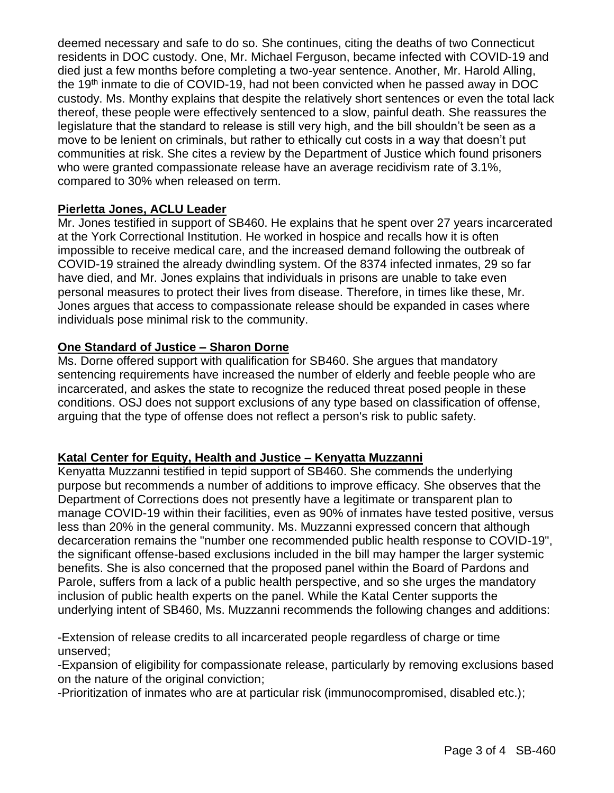deemed necessary and safe to do so. She continues, citing the deaths of two Connecticut residents in DOC custody. One, Mr. Michael Ferguson, became infected with COVID-19 and died just a few months before completing a two-year sentence. Another, Mr. Harold Alling, the 19th inmate to die of COVID-19, had not been convicted when he passed away in DOC custody. Ms. Monthy explains that despite the relatively short sentences or even the total lack thereof, these people were effectively sentenced to a slow, painful death. She reassures the legislature that the standard to release is still very high, and the bill shouldn't be seen as a move to be lenient on criminals, but rather to ethically cut costs in a way that doesn't put communities at risk. She cites a review by the Department of Justice which found prisoners who were granted compassionate release have an average recidivism rate of 3.1%, compared to 30% when released on term.

## **Pierletta Jones, ACLU Leader**

Mr. Jones testified in support of SB460. He explains that he spent over 27 years incarcerated at the York Correctional Institution. He worked in hospice and recalls how it is often impossible to receive medical care, and the increased demand following the outbreak of COVID-19 strained the already dwindling system. Of the 8374 infected inmates, 29 so far have died, and Mr. Jones explains that individuals in prisons are unable to take even personal measures to protect their lives from disease. Therefore, in times like these, Mr. Jones argues that access to compassionate release should be expanded in cases where individuals pose minimal risk to the community.

## **One Standard of Justice – Sharon Dorne**

Ms. Dorne offered support with qualification for SB460. She argues that mandatory sentencing requirements have increased the number of elderly and feeble people who are incarcerated, and askes the state to recognize the reduced threat posed people in these conditions. OSJ does not support exclusions of any type based on classification of offense, arguing that the type of offense does not reflect a person's risk to public safety.

#### **Katal Center for Equity, Health and Justice – Kenyatta Muzzanni**

Kenyatta Muzzanni testified in tepid support of SB460. She commends the underlying purpose but recommends a number of additions to improve efficacy. She observes that the Department of Corrections does not presently have a legitimate or transparent plan to manage COVID-19 within their facilities, even as 90% of inmates have tested positive, versus less than 20% in the general community. Ms. Muzzanni expressed concern that although decarceration remains the "number one recommended public health response to COVID-19", the significant offense-based exclusions included in the bill may hamper the larger systemic benefits. She is also concerned that the proposed panel within the Board of Pardons and Parole, suffers from a lack of a public health perspective, and so she urges the mandatory inclusion of public health experts on the panel. While the Katal Center supports the underlying intent of SB460, Ms. Muzzanni recommends the following changes and additions:

-Extension of release credits to all incarcerated people regardless of charge or time unserved;

-Expansion of eligibility for compassionate release, particularly by removing exclusions based on the nature of the original conviction;

-Prioritization of inmates who are at particular risk (immunocompromised, disabled etc.);